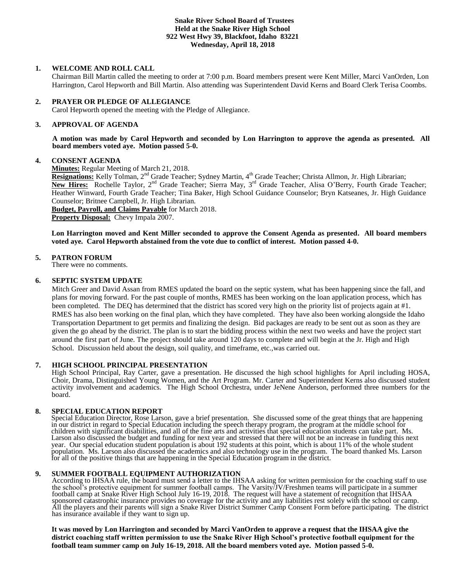# **Snake River School Board of Trustees Held at the Snake River High School 922 West Hwy 39, Blackfoot, Idaho 83221 Wednesday, April 18, 2018**

# **1. WELCOME AND ROLL CALL**

Chairman Bill Martin called the meeting to order at 7:00 p.m. Board members present were Kent Miller, Marci VanOrden, Lon Harrington, Carol Hepworth and Bill Martin. Also attending was Superintendent David Kerns and Board Clerk Terisa Coombs.

# **2. PRAYER OR PLEDGE OF ALLEGIANCE**

Carol Hepworth opened the meeting with the Pledge of Allegiance.

### **3. APPROVAL OF AGENDA**

**A motion was made by Carol Hepworth and seconded by Lon Harrington to approve the agenda as presented. All board members voted aye. Motion passed 5-0.**

#### **4. CONSENT AGENDA**

**Minutes:** Regular Meeting of March 21, 2018.

Resignations: Kelly Tolman, 2<sup>nd</sup> Grade Teacher; Sydney Martin, 4<sup>th</sup> Grade Teacher; Christa Allmon, Jr. High Librarian; New Hires: Rochelle Taylor, 2<sup>nd</sup> Grade Teacher; Sierra May, 3<sup>rd</sup> Grade Teacher, Alisa O'Berry, Fourth Grade Teacher; Heather Winward, Fourth Grade Teacher; Tina Baker, High School Guidance Counselor; Bryn Katseanes, Jr. High Guidance Counselor; Britnee Campbell, Jr. High Librarian.

**Budget, Payroll, and Claims Payable** for March 2018. **Property Disposal:** Chevy Impala 2007.

**Lon Harrington moved and Kent Miller seconded to approve the Consent Agenda as presented. All board members voted aye. Carol Hepworth abstained from the vote due to conflict of interest. Motion passed 4-0.**

#### **5. PATRON FORUM**

There were no comments.

# **6. SEPTIC SYSTEM UPDATE**

Mitch Greer and David Assan from RMES updated the board on the septic system, what has been happening since the fall, and plans for moving forward. For the past couple of months, RMES has been working on the loan application process, which has been completed. The DEQ has determined that the district has scored very high on the priority list of projects again at #1. RMES has also been working on the final plan, which they have completed. They have also been working alongside the Idaho Transportation Department to get permits and finalizing the design. Bid packages are ready to be sent out as soon as they are given the go ahead by the district. The plan is to start the bidding process within the next two weeks and have the project start around the first part of June. The project should take around 120 days to complete and will begin at the Jr. High and High School. Discussion held about the design, soil quality, and timeframe, etc.,was carried out.

# **7. HIGH SCHOOL PRINCIPAL PRESENTATION**

High School Principal, Ray Carter, gave a presentation. He discussed the high school highlights for April including HOSA, Choir, Drama, Distinguished Young Women, and the Art Program. Mr. Carter and Superintendent Kerns also discussed student activity involvement and academics. The High School Orchestra, under JeNene Anderson, performed three numbers for the board.

# **8. SPECIAL EDUCATION REPORT**

Special Education Director, Rose Larson, gave a brief presentation. She discussed some of the great things that are happening in our district in regard to Special Education including the speech therapy program, the program at the middle school for children with significant disabilities, and all of the fine arts and activities that special education students can take part. Ms. Larson also discussed the budget and funding for next year and stressed that there will not be an increase in funding this next year. Our special education student population is about 192 students at this point, which is about 11% of the whole student population. Ms. Larson also discussed the academics and also technology use in the program. The board thanked Ms. Larson for all of the positive things that are happening in the Special Education program in the district.

# **9. SUMMER FOOTBALL EQUIPMENT AUTHORIZATION**

According to IHSAA rule, the board must send a letter to the IHSAA asking for written permission for the coaching staff to use the school's protective equipment for summer football camps. The Varsity/JV/Freshmen teams will participate in a summer football camp at Snake River High School July 16-19, 2018. The request will have a statement of recognition that IHSAA sponsored catastrophic insurance provides no coverage for the activity and any liabilities rest solely with the school or camp. All the players and their parents will sign a Snake River District Summer Camp Consent Form before participating. The district has insurance available if they want to sign up.

**It was moved by Lon Harrington and seconded by Marci VanOrden to approve a request that the IHSAA give the district coaching staff written permission to use the Snake River High School's protective football equipment for the football team summer camp on July 16-19, 2018. All the board members voted aye. Motion passed 5-0.**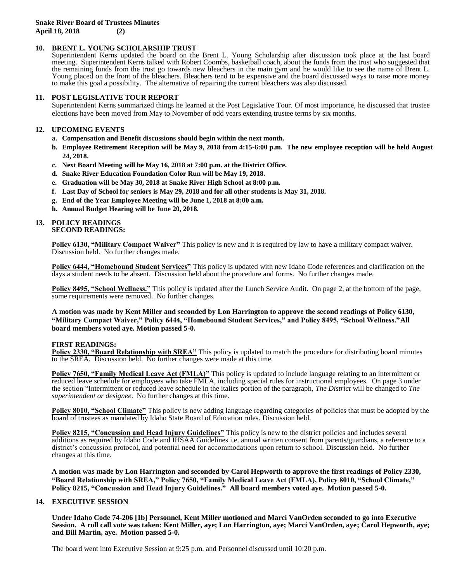# **10. BRENT L. YOUNG SCHOLARSHIP TRUST**

Superintendent Kerns updated the board on the Brent L. Young Scholarship after discussion took place at the last board meeting. Superintendent Kerns talked with Robert Coombs, basketball coach, about the funds from the trust who suggested that the remaining funds from the trust go towards new bleachers in the main gym and he would like to see the name of Brent L. Young placed on the front of the bleachers. Bleachers tend to be expensive and the board discussed ways to raise more money to make this goal a possibility. The alternative of repairing the current bleachers was also discussed.

# **11. POST LEGISLATIVE TOUR REPORT**

Superintendent Kerns summarized things he learned at the Post Legislative Tour. Of most importance, he discussed that trustee elections have been moved from May to November of odd years extending trustee terms by six months.

# **12. UPCOMING EVENTS**

- **a. Compensation and Benefit discussions should begin within the next month.**
- **b. Employee Retirement Reception will be May 9, 2018 from 4:15-6:00 p.m. The new employee reception will be held August 24, 2018.**
- **c. Next Board Meeting will be May 16, 2018 at 7:00 p.m. at the District Office.**
- **d. Snake River Education Foundation Color Run will be May 19, 2018.**
- **e. Graduation will be May 30, 2018 at Snake River High School at 8:00 p.m.**
- **f. Last Day of School for seniors is May 29, 2018 and for all other students is May 31, 2018.**
- **g. End of the Year Employee Meeting will be June 1, 2018 at 8:00 a.m.**
- **h. Annual Budget Hearing will be June 20, 2018.**

#### **13. POLICY READINGS SECOND READINGS:**

**Policy 6130, "Military Compact Waiver"** This policy is new and it is required by law to have a military compact waiver. Discussion held. No further changes made.

**Policy 6444, "Homebound Student Services"** This policy is updated with new Idaho Code references and clarification on the days a student needs to be absent. Discussion held about the procedure and forms. No further changes made.

**Policy 8495, "School Wellness."** This policy is updated after the Lunch Service Audit. On page 2, at the bottom of the page, some requirements were removed. No further changes.

**A motion was made by Kent Miller and seconded by Lon Harrington to approve the second readings of Policy 6130, "Military Compact Waiver," Policy 6444, "Homebound Student Services," and Policy 8495, "School Wellness."All board members voted aye. Motion passed 5-0.**

# **FIRST READINGS:**

**Policy 2330, "Board Relationship with SREA"** This policy is updated to match the procedure for distributing board minutes to the SREA. Discussion held. No further changes were made at this time.

**Policy 7650, "Family Medical Leave Act (FMLA)"** This policy is updated to include language relating to an intermittent or reduced leave schedule for employees who take FMLA, including special rules for instructional employees. On page 3 under the section "Intermittent or reduced leave schedule in the italics portion of the paragraph, *The District* will be changed to *The superintendent or designee*. No further changes at this time.

**Policy 8010, "School Climate"** This policy is new adding language regarding categories of policies that must be adopted by the board of trustees as mandated by Idaho State Board of Education rules. Discussion held.

**Policy 8215, "Concussion and Head Injury Guidelines"** This policy is new to the district policies and includes several additions as required by Idaho Code and IHSAA Guidelines i.e. annual written consent from parents/guardians, a reference to a district's concussion protocol, and potential need for accommodations upon return to school. Discussion held. No further changes at this time.

**A motion was made by Lon Harrington and seconded by Carol Hepworth to approve the first readings of Policy 2330, "Board Relationship with SREA," Policy 7650, "Family Medical Leave Act (FMLA), Policy 8010, "School Climate," Policy 8215, "Concussion and Head Injury Guidelines." All board members voted aye. Motion passed 5-0.**

# **14. EXECUTIVE SESSION**

**Under Idaho Code 74-206 [1b] Personnel, Kent Miller motioned and Marci VanOrden seconded to go into Executive Session. A roll call vote was taken: Kent Miller, aye; Lon Harrington, aye; Marci VanOrden, aye; Carol Hepworth, aye; and Bill Martin, aye. Motion passed 5-0.** 

The board went into Executive Session at 9:25 p.m. and Personnel discussed until 10:20 p.m.